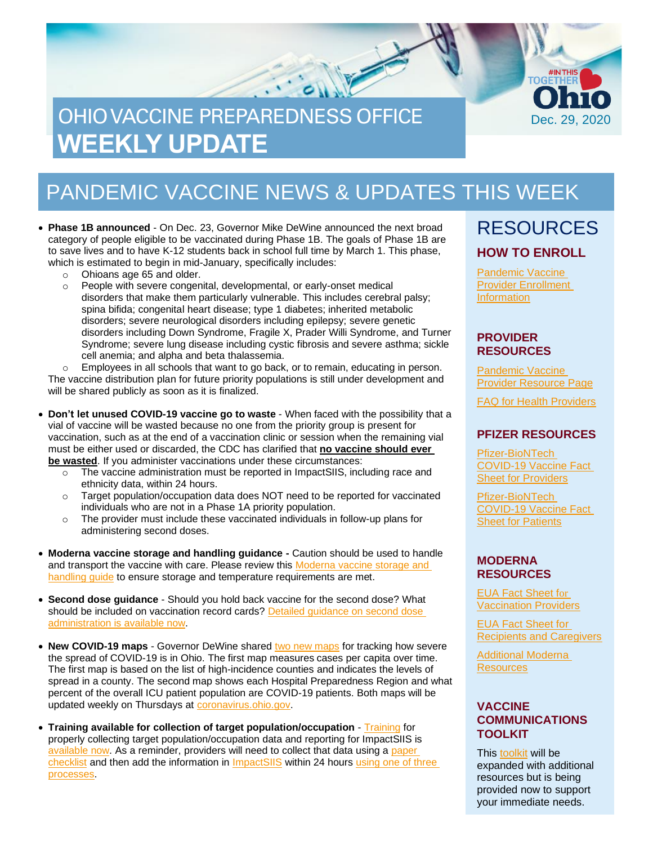# OHIO VACCINE PREPAREDNESS OFFICE **WEEKLY UPDATE**

### PANDEMIC VACCINE NEWS & UPDATES THIS WEEK

• **Phase 1B announced** - On Dec. 23, Governor Mike DeWine announced the next broad category of people eligible to be vaccinated during Phase 1B. The goals of Phase 1B are to save lives and to have K-12 students back in school full time by March 1. This phase, which is estimated to begin in mid-January, specifically includes:

- o Ohioans age 65 and older.
- o People with severe congenital, developmental, or early-onset medical disorders that make them particularly vulnerable. This includes cerebral palsy; spina bifida; congenital heart disease; type 1 diabetes; inherited metabolic disorders; severe neurological disorders including epilepsy; severe genetic disorders including Down Syndrome, Fragile X, Prader Willi Syndrome, and Turner Syndrome; severe lung disease including cystic fibrosis and severe asthma; sickle cell anemia; and alpha and beta thalassemia.

 $\circ$  Employees in all schools that want to go back, or to remain, educating in person. The vaccine distribution plan for future priority populations is still under development and will be shared publicly as soon as it is finalized.

- **Don't let unused COVID-19 vaccine go to waste** When faced with the possibility that a vial of vaccine will be wasted because no one from the priority group is present for vaccination, such as at the end of a vaccination clinic or session when the remaining vial must be either used or discarded, the CDC has clarified that **no vaccine should ever be wasted**. If you administer vaccinations under these circumstances:
	- $\circ$  The vaccine administration must be reported in ImpactSIIS, including race and ethnicity data, within 24 hours.
	- $\circ$  Target population/occupation data does NOT need to be reported for vaccinated individuals who are not in a Phase 1A priority population.
	- $\circ$  The provider must include these vaccinated individuals in follow-up plans for administering second doses.
- **Moderna vaccine storage and handling guidance -** Caution should be used to handle and transport the vaccine with care. Please review this [Moderna vaccine storage and](https://www.cdc.gov/vaccines/covid-19/info-by-product/moderna/downloads/storage-summary.pdf)  [handling guide](https://www.cdc.gov/vaccines/covid-19/info-by-product/moderna/downloads/storage-summary.pdf) to ensure storage and temperature requirements are met.
- **Second dose guidance** Should you hold back vaccine for the second dose? What should be included on vaccination record cards? [Detailed guidance on second dose](https://odh.ohio.gov/static/covid19/vaccine-providers/guidance-for-providers-on-covid-19-vaccine-second-doses.pdf)  [administration is available now.](https://odh.ohio.gov/static/covid19/vaccine-providers/guidance-for-providers-on-covid-19-vaccine-second-doses.pdf)
- New COVID-19 maps Governor DeWine share[d two new maps](https://coronavirus.ohio.gov/static/OPHASM/key-measures.pdf) for tracking how severe the spread of COVID-19 is in Ohio. The first map measures cases per capita over time. The first map is based on the list of high-incidence counties and indicates the levels of spread in a county. The second map shows each Hospital Preparedness Region and what percent of the overall ICU patient population are COVID-19 patients. Both maps will be updated weekly on Thursdays at [coronavirus.ohio.gov.](https://coronavirus.ohio.gov/wps/portal/gov/covid-19/home)
- [Training](https://odh.ohio.gov/wps/portal/gov/odh/know-our-programs/covid-19-vaccine-provider/impactsiis-job-aids-and-videos) available for collection of target population/occupation Training for properly collecting target population/occupation data and reporting for ImpactSIIS is [available now.](https://odh.ohio.gov/wps/portal/gov/odh/know-our-programs/covid-19-vaccine-provider/impactsiis-job-aids-and-videos) As a reminder, providers will need to collect that data using a paper [checklist](https://odh.ohio.gov/static/covid19/vaccine-providers/covid-19-vaccine-checklist-population-data.pdf) and then add the information in [ImpactSIIS](https://ohioimpactsiis.org/siisprod/) within 24 hours using one of three [processes.](https://odh.ohio.gov/wps/portal/gov/odh/know-our-programs/covid-19-vaccine-provider/impactsiis-job-aids-and-videos)

### RESOURCES **HOW TO ENROLL**

Dec. 29, 2020

**TOGËT** 

[Pandemic Vaccine](https://odh.ohio.gov/wps/portal/gov/odh/know-our-programs/immunization/pandemic-vaccine-provider/ohio-covid-19-provider-enrollment)  [Provider Enrollment](https://odh.ohio.gov/wps/portal/gov/odh/know-our-programs/immunization/pandemic-vaccine-provider/ohio-covid-19-provider-enrollment)  **[Information](https://odh.ohio.gov/wps/portal/gov/odh/know-our-programs/immunization/pandemic-vaccine-provider/ohio-covid-19-provider-enrollment)** 

#### **PROVIDER RESOURCES**

[Pandemic](https://odh.ohio.gov/wps/portal/gov/odh/know-our-programs/Immunization/pandemic-vaccine-provider) Vaccine [Provider Resource Page](https://odh.ohio.gov/wps/portal/gov/odh/know-our-programs/Immunization/pandemic-vaccine-provider)

FAQ for Health [Providers](https://coronavirus.ohio.gov/static/docs/Enrollment-Information-FAQ.pdf)

#### **PFIZER RESOURCES**

[Pfizer-BioNTech](https://www.fda.gov/media/144413/download)  [COVID-19 Vaccine Fact](https://www.fda.gov/media/144413/download)  [Sheet for Providers](https://www.fda.gov/media/144413/download)

[Pfizer-BioNTech](https://odh.ohio.gov/wps/portal/gov/odh/know-our-programs/covid-19-vaccine-provider/manufacturer-specific-information/manufacturer-specific-information/!ut/p/z1/jZDdCoJAEEafxQdYZo1c8tKExJ81IkXbm1g2tYVcZVMvevrMO6HSuZvhHJjvAwY5MMUHWfFONoo_xv3CyDW2Pcc0Qxx7JLLx6UiTwMTUxy6BbA7sEssZAZJ64eHsJ1sL2Bof_xgHL_nBEjAm2Gjq0gpYy7s7kqpsIBfNIG_ItNHAhZCqQK3-XAoNec1VX3LR9brQ6NkWQpZSTJqup1rWIBmw-WNfipmAP8nbOs1f0d72K8N4A42Ic8o!/%C2%A0https:/www.fda.gov/media/144414/download)  [COVID-19 Vaccine Fact](https://odh.ohio.gov/wps/portal/gov/odh/know-our-programs/covid-19-vaccine-provider/manufacturer-specific-information/manufacturer-specific-information/!ut/p/z1/jZDdCoJAEEafxQdYZo1c8tKExJ81IkXbm1g2tYVcZVMvevrMO6HSuZvhHJjvAwY5MMUHWfFONoo_xv3CyDW2Pcc0Qxx7JLLx6UiTwMTUxy6BbA7sEssZAZJ64eHsJ1sL2Bof_xgHL_nBEjAm2Gjq0gpYy7s7kqpsIBfNIG_ItNHAhZCqQK3-XAoNec1VX3LR9brQ6NkWQpZSTJqup1rWIBmw-WNfipmAP8nbOs1f0d72K8N4A42Ic8o!/%C2%A0https:/www.fda.gov/media/144414/download)  [Sheet for Patients](https://odh.ohio.gov/wps/portal/gov/odh/know-our-programs/covid-19-vaccine-provider/manufacturer-specific-information/manufacturer-specific-information/!ut/p/z1/jZDdCoJAEEafxQdYZo1c8tKExJ81IkXbm1g2tYVcZVMvevrMO6HSuZvhHJjvAwY5MMUHWfFONoo_xv3CyDW2Pcc0Qxx7JLLx6UiTwMTUxy6BbA7sEssZAZJ64eHsJ1sL2Bof_xgHL_nBEjAm2Gjq0gpYy7s7kqpsIBfNIG_ItNHAhZCqQK3-XAoNec1VX3LR9brQ6NkWQpZSTJqup1rWIBmw-WNfipmAP8nbOs1f0d72K8N4A42Ic8o!/%C2%A0https:/www.fda.gov/media/144414/download)

#### **MODERNA RESOURCES**

[EUA Fact Sheet f](https://www.modernatx.com/covid19vaccine-eua/eua-fact-sheet-providers.pdf)[or](https://www.modernatx.com/covid19vaccine-eua/eua-fact-sheet-providers.pdf)  [Vaccination Providers](https://www.modernatx.com/covid19vaccine-eua/eua-fact-sheet-providers.pdf)

[EUA Fact Sheet for](https://www.modernatx.com/covid19vaccine-eua/eua-fact-sheet-recipients.pdf)  [Recipients and Caregivers](https://www.modernatx.com/covid19vaccine-eua/eua-fact-sheet-recipients.pdf)

[Additional Moderna](https://www.modernatx.com/covid19vaccine-eua/)  **[Resources](https://www.modernatx.com/covid19vaccine-eua/)** 

#### **VACCINE COMMUNICATIONS TOOLKIT**

This [toolkit](https://odh.ohio.gov/static/covid19/vaccine-providers/communications_toolkit.pdf) will be expanded with additional resources but is being provided now to support your immediate needs.